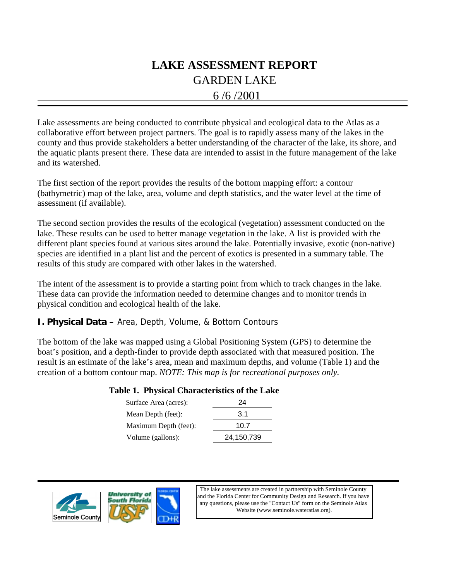# GARDEN LAKE **LAKE ASSESSMENT REPORT**

# 6 /6 /2001

Lake assessments are being conducted to contribute physical and ecological data to the Atlas as a collaborative effort between project partners. The goal is to rapidly assess many of the lakes in the county and thus provide stakeholders a better understanding of the character of the lake, its shore, and the aquatic plants present there. These data are intended to assist in the future management of the lake and its watershed.

The first section of the report provides the results of the bottom mapping effort: a contour (bathymetric) map of the lake, area, volume and depth statistics, and the water level at the time of assessment (if available).

The second section provides the results of the ecological (vegetation) assessment conducted on the lake. These results can be used to better manage vegetation in the lake. A list is provided with the different plant species found at various sites around the lake. Potentially invasive, exotic (non-native) species are identified in a plant list and the percent of exotics is presented in a summary table. The results of this study are compared with other lakes in the watershed.

The intent of the assessment is to provide a starting point from which to track changes in the lake. These data can provide the information needed to determine changes and to monitor trends in physical condition and ecological health of the lake.

# **I. Physical Data –** Area, Depth, Volume, & Bottom Contours

The bottom of the lake was mapped using a Global Positioning System (GPS) to determine the boat's position, and a depth-finder to provide depth associated with that measured position. The result is an estimate of the lake's area, mean and maximum depths, and volume (Table 1) and the creation of a bottom contour map. *NOTE: This map is for recreational purposes only.*

## **Table 1. Physical Characteristics of the Lake**

| Surface Area (acres): | 24         |
|-----------------------|------------|
| Mean Depth (feet):    | 3.1        |
| Maximum Depth (feet): | 10.7       |
| Volume (gallons):     | 24,150,739 |





The lake assessments are created in partnership with Seminole County and the Florida Center for Community Design and Research. If you have any questions, please use the "Contact Us" form on the Seminole Atlas Website (www.seminole.wateratlas.org).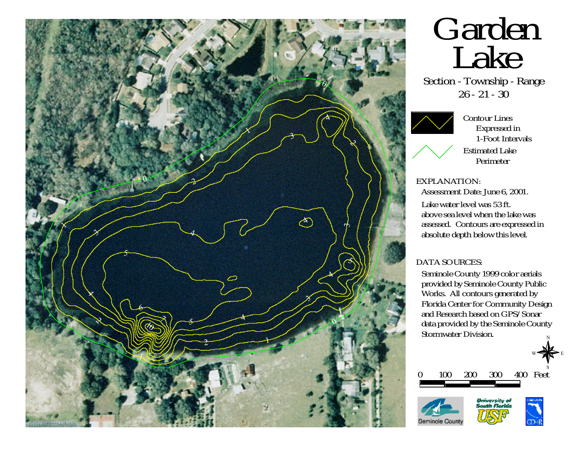

# Garden Lake

Section - Township - Range 26 - 21 - 30

Contour Lines Expressed in 1-Foot IntervalsEstimated LakePerimeter

# EXPLANATION:

Assessment Date: June 6, 2001.

Lake water level was 53 ft.above sea level when the lake wasassessed. Contours are expressed in absolute depth below this level.

# DATA SOURCES:

Seminole County 1999 color aerials provided by Seminole County Public Works. All contours generated by Florida Center for Community Design and Research based on GPS/Sonar data provided by the Seminole County Stormwater Division. N







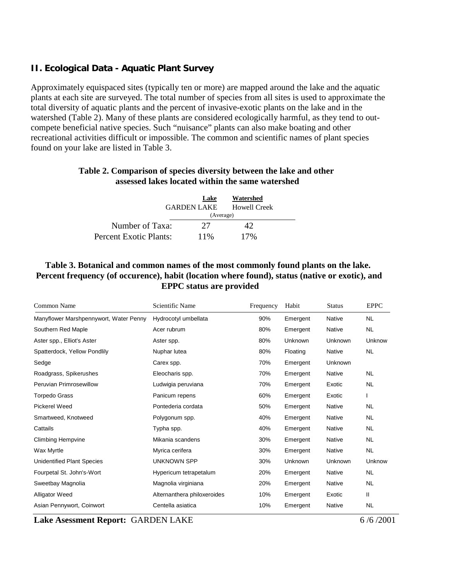# **II. Ecological Data - Aquatic Plant Survey**

Approximately equispaced sites (typically ten or more) are mapped around the lake and the aquatic plants at each site are surveyed. The total number of species from all sites is used to approximate the total diversity of aquatic plants and the percent of invasive-exotic plants on the lake and in the watershed (Table 2). Many of these plants are considered ecologically harmful, as they tend to outcompete beneficial native species. Such "nuisance" plants can also make boating and other recreational activities difficult or impossible. The common and scientific names of plant species found on your lake are listed in Table 3.

## **Table 2. Comparison of species diversity between the lake and other assessed lakes located within the same watershed**

|                        | Lake<br><b>GARDEN LAKE</b> | Watershed<br>Howell Creek |  |  |
|------------------------|----------------------------|---------------------------|--|--|
|                        | (Average)                  |                           |  |  |
| Number of Taxa:        | 27                         | 42                        |  |  |
| Percent Exotic Plants: | 11%                        | $17\%$                    |  |  |

## **Table 3. Botanical and common names of the most commonly found plants on the lake. Percent frequency (of occurence), habit (location where found), status (native or exotic), and EPPC status are provided**

| Common Name                            | Scientific Name             | Frequency | Habit    | <b>Status</b>  | <b>EPPC</b> |
|----------------------------------------|-----------------------------|-----------|----------|----------------|-------------|
| Manyflower Marshpennywort, Water Penny | Hydrocotyl umbellata        | 90%       | Emergent | <b>Native</b>  | <b>NL</b>   |
| Southern Red Maple                     | Acer rubrum                 | 80%       | Emergent | Native         | <b>NL</b>   |
| Aster spp., Elliot's Aster             | Aster spp.                  | 80%       | Unknown  | Unknown        | Unknow      |
| Spatterdock, Yellow Pondlily           | Nuphar lutea                | 80%       | Floating | Native         | <b>NL</b>   |
| Sedge                                  | Carex spp.                  | 70%       | Emergent | <b>Unknown</b> |             |
| Roadgrass, Spikerushes                 | Eleocharis spp.             | 70%       | Emergent | <b>Native</b>  | <b>NL</b>   |
| Peruvian Primrosewillow                | Ludwigia peruviana          | 70%       | Emergent | Exotic         | <b>NL</b>   |
| <b>Torpedo Grass</b>                   | Panicum repens              | 60%       | Emergent | Exotic         | L           |
| <b>Pickerel Weed</b>                   | Pontederia cordata          | 50%       | Emergent | Native         | <b>NL</b>   |
| Smartweed, Knotweed                    | Polygonum spp.              | 40%       | Emergent | <b>Native</b>  | <b>NL</b>   |
| Cattails                               | Typha spp.                  | 40%       | Emergent | <b>Native</b>  | <b>NL</b>   |
| <b>Climbing Hempvine</b>               | Mikania scandens            | 30%       | Emergent | Native         | <b>NL</b>   |
| Wax Myrtle                             | Myrica cerifera             | 30%       | Emergent | <b>Native</b>  | NL.         |
| <b>Unidentified Plant Species</b>      | <b>UNKNOWN SPP</b>          | 30%       | Unknown  | Unknown        | Unknow      |
| Fourpetal St. John's-Wort              | Hypericum tetrapetalum      | 20%       | Emergent | <b>Native</b>  | <b>NL</b>   |
| Sweetbay Magnolia                      | Magnolia virginiana         | 20%       | Emergent | <b>Native</b>  | <b>NL</b>   |
| <b>Alligator Weed</b>                  | Alternanthera philoxeroides | 10%       | Emergent | Exotic         | Ш           |
| Asian Pennywort, Coinwort              | Centella asiatica           | 10%       | Emergent | <b>Native</b>  | <b>NL</b>   |

**Lake Asessment Report:** GARDEN LAKE 6/6/2001